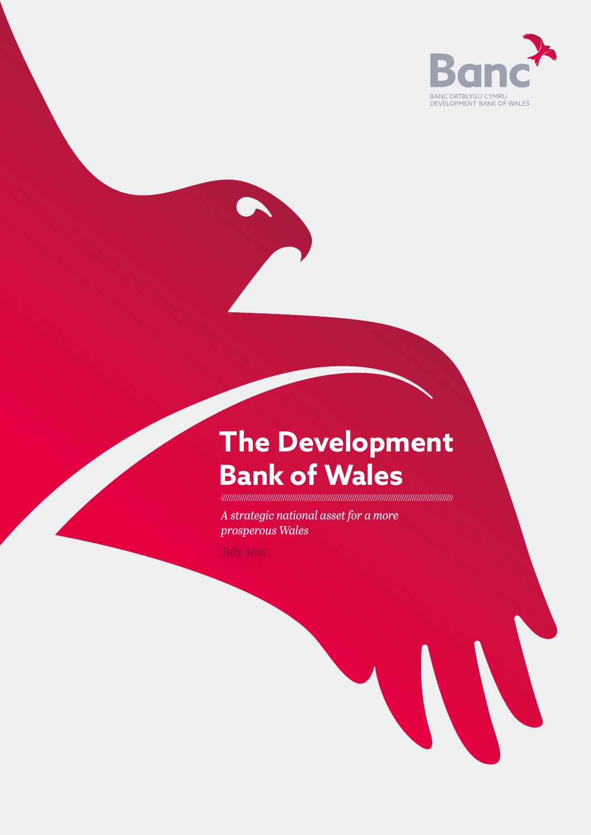

# **The Development Bank of Wales**

*A strategic national asset for a more prosperous Wales*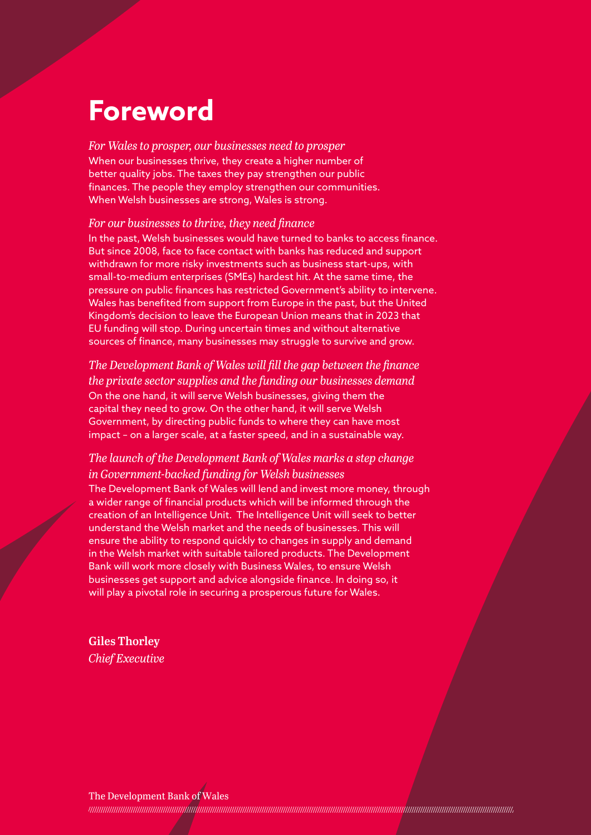### **Foreword**

*For Wales to prosper, our businesses need to prosper* When our businesses thrive, they create a higher number of better quality jobs. The taxes they pay strengthen our public finances. The people they employ strengthen our communities. When Welsh businesses are strong, Wales is strong.

#### *For our businesses to thrive, they need finance*

In the past, Welsh businesses would have turned to banks to access finance. But since 2008, face to face contact with banks has reduced and support withdrawn for more risky investments such as business start-ups, with small-to-medium enterprises (SMEs) hardest hit. At the same time, the pressure on public finances has restricted Government's ability to intervene. Wales has benefited from support from Europe in the past, but the United Kingdom's decision to leave the European Union means that in 2023 that EU funding will stop. During uncertain times and without alternative sources of finance, many businesses may struggle to survive and grow.

*The Development Bank of Wales will fill the gap between the finance the private sector supplies and the funding our businesses demand*  On the one hand, it will serve Welsh businesses, giving them the capital they need to grow. On the other hand, it will serve Welsh Government, by directing public funds to where they can have most impact – on a larger scale, at a faster speed, and in a sustainable way.

#### *The launch of the Development Bank of Wales marks a step change in Government-backed funding for Welsh businesses*

The Development Bank of Wales will lend and invest more money, through a wider range of financial products which will be informed through the creation of an Intelligence Unit. The Intelligence Unit will seek to better understand the Welsh market and the needs of businesses. This will ensure the ability to respond quickly to changes in supply and demand in the Welsh market with suitable tailored products. The Development Bank will work more closely with Business Wales, to ensure Welsh businesses get support and advice alongside finance. In doing so, it will play a pivotal role in securing a prosperous future for Wales.

Giles Thorley *Chief Executive*

#### The Development Bank of Wales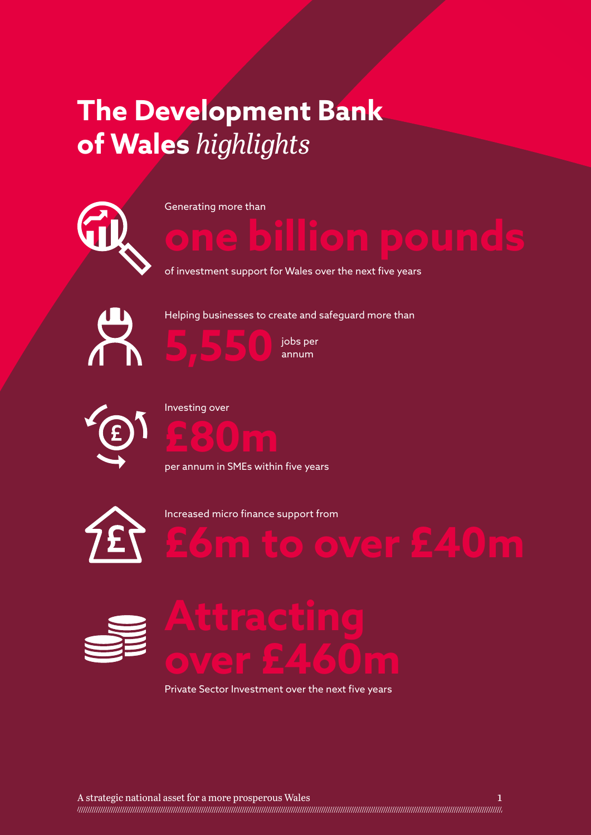# **The Development Bank of Wales** *highlights*



Generating more than

of investment support for Wales over the next five years





annum



Investing over



per annum in SMEs within five years



Increased micro finance support from







Private Sector Investment over the next five years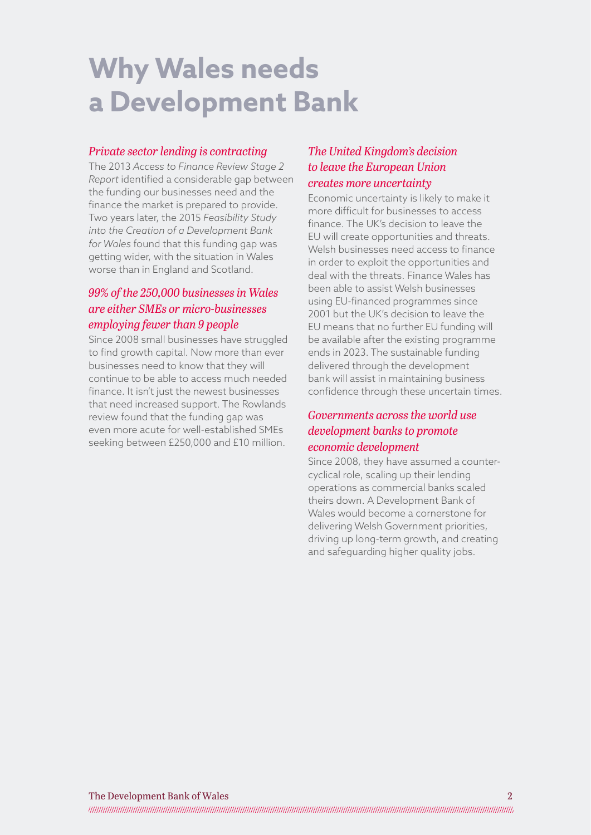# **Why Wales needs a Development Bank**

#### *Private sector lending is contracting*

The 2013 *Access to Finance Review Stage 2 Report* identified a considerable gap between the funding our businesses need and the finance the market is prepared to provide. Two years later, the 2015 *Feasibility Study into the Creation of a Development Bank for Wales* found that this funding gap was getting wider, with the situation in Wales worse than in England and Scotland.

#### *99% of the 250,000 businesses in Wales are either SMEs or micro-businesses employing fewer than 9 people*

Since 2008 small businesses have struggled to find growth capital. Now more than ever businesses need to know that they will continue to be able to access much needed finance. It isn't just the newest businesses that need increased support. The Rowlands review found that the funding gap was even more acute for well-established SMEs seeking between £250,000 and £10 million.

#### *The United Kingdom's decision to leave the European Union creates more uncertainty*

Economic uncertainty is likely to make it more difficult for businesses to access finance. The UK's decision to leave the EU will create opportunities and threats. Welsh businesses need access to finance in order to exploit the opportunities and deal with the threats. Finance Wales has been able to assist Welsh businesses using EU-financed programmes since 2001 but the UK's decision to leave the EU means that no further EU funding will be available after the existing programme ends in 2023. The sustainable funding delivered through the development bank will assist in maintaining business confidence through these uncertain times.

#### *Governments across the world use development banks to promote economic development*

Since 2008, they have assumed a countercyclical role, scaling up their lending operations as commercial banks scaled theirs down. A Development Bank of Wales would become a cornerstone for delivering Welsh Government priorities, driving up long-term growth, and creating and safeguarding higher quality jobs.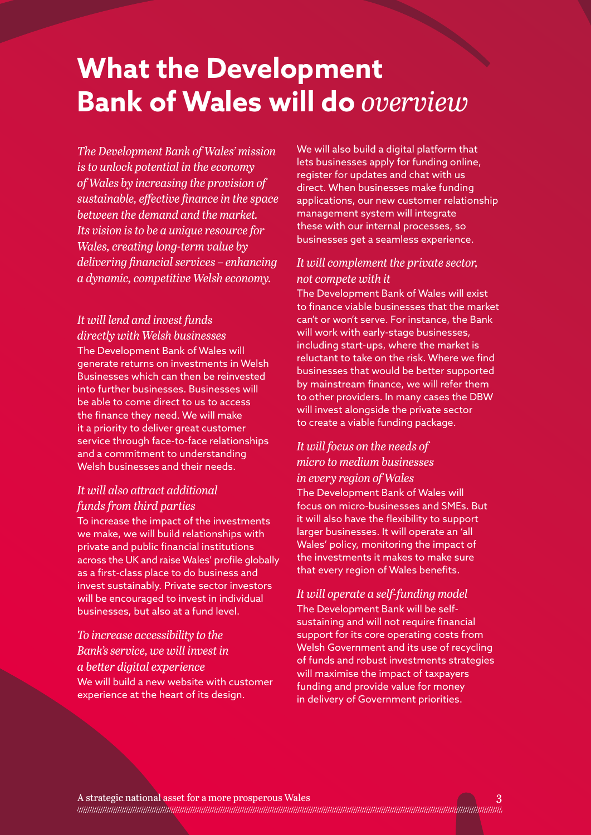# **What the Development Bank of Wales will do** *overview*

*The Development Bank of Wales' mission is to unlock potential in the economy of Wales by increasing the provision of sustainable, effective finance in the space between the demand and the market. Its vision is to be a unique resource for Wales, creating long-term value by delivering financial services – enhancing a dynamic, competitive Welsh economy.* 

*It will lend and invest funds directly with Welsh businesses* The Development Bank of Wales will generate returns on investments in Welsh Businesses which can then be reinvested into further businesses. Businesses will be able to come direct to us to access the finance they need. We will make it a priority to deliver great customer service through face-to-face relationships and a commitment to understanding Welsh businesses and their needs.

#### *It will also attract additional funds from third parties*

To increase the impact of the investments we make, we will build relationships with private and public financial institutions across the UK and raise Wales' profile globally as a first-class place to do business and invest sustainably. Private sector investors will be encouraged to invest in individual businesses, but also at a fund level.

*To increase accessibility to the Bank's service, we will invest in a better digital experience* We will build a new website with customer experience at the heart of its design.

We will also build a digital platform that lets businesses apply for funding online, register for updates and chat with us direct. When businesses make funding applications, our new customer relationship management system will integrate these with our internal processes, so businesses get a seamless experience.

#### *It will complement the private sector, not compete with it*

The Development Bank of Wales will exist to finance viable businesses that the market can't or won't serve. For instance, the Bank will work with early-stage businesses, including start-ups, where the market is reluctant to take on the risk. Where we find businesses that would be better supported by mainstream finance, we will refer them to other providers. In many cases the DBW will invest alongside the private sector to create a viable funding package.

#### *It will focus on the needs of micro to medium businesses in every region of Wales*

The Development Bank of Wales will focus on micro-businesses and SMEs. But it will also have the flexibility to support larger businesses. It will operate an 'all Wales' policy, monitoring the impact of the investments it makes to make sure that every region of Wales benefits.

*It will operate a self-funding model* The Development Bank will be selfsustaining and will not require financial support for its core operating costs from Welsh Government and its use of recycling of funds and robust investments strategies will maximise the impact of taxpayers funding and provide value for money in delivery of Government priorities.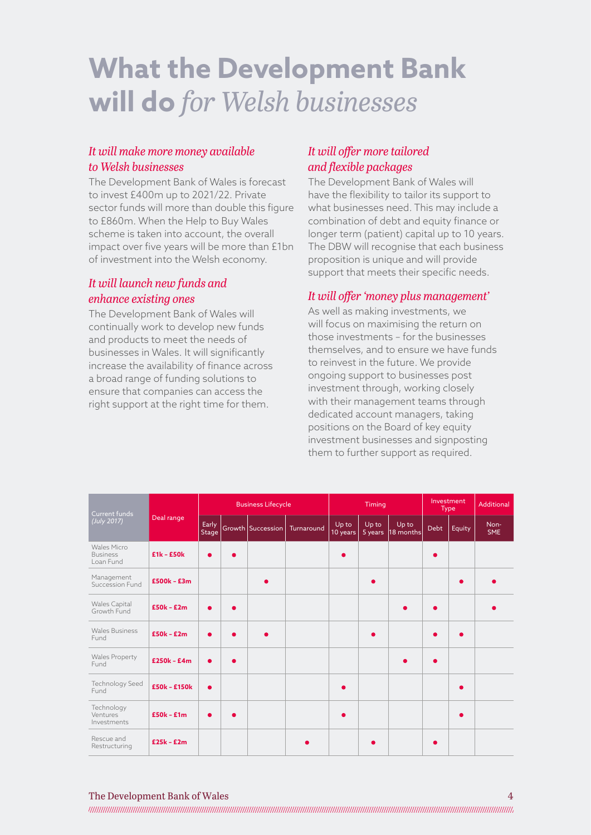# **What the Development Bank will do** *for Welsh businesses*

#### *It will make more money available to Welsh businesses*

The Development Bank of Wales is forecast to invest £400m up to 2021/22. Private sector funds will more than double this figure to £860m. When the Help to Buy Wales scheme is taken into account, the overall impact over five years will be more than £1bn of investment into the Welsh economy.

#### *It will launch new funds and enhance existing ones*

The Development Bank of Wales will continually work to develop new funds and products to meet the needs of businesses in Wales. It will significantly increase the availability of finance across a broad range of funding solutions to ensure that companies can access the right support at the right time for them.

#### *It will offer more tailored and flexible packages*

The Development Bank of Wales will have the flexibility to tailor its support to what businesses need. This may include a combination of debt and equity finance or longer term (patient) capital up to 10 years. The DBW will recognise that each business proposition is unique and will provide support that meets their specific needs.

#### *It will offer 'money plus management'*

As well as making investments, we will focus on maximising the return on those investments – for the businesses themselves, and to ensure we have funds to reinvest in the future. We provide ongoing support to businesses post investment through, working closely with their management teams through dedicated account managers, taking positions on the Board of key equity investment businesses and signposting them to further support as required.

| Current funds<br>(July 2017)                       | Deal range    | <b>Business Lifecycle</b> |           |           |                                | Timing            |                  |                    | Investment<br><b>Type</b> |           | Additional         |
|----------------------------------------------------|---------------|---------------------------|-----------|-----------|--------------------------------|-------------------|------------------|--------------------|---------------------------|-----------|--------------------|
|                                                    |               | Early<br>Stage            |           |           | Growth Succession   Turnaround | Up to<br>10 years | Up to<br>5 years | Up to<br>18 months | Debt                      | Equity    | Non-<br><b>SME</b> |
| <b>Wales Micro</b><br><b>Business</b><br>Loan Fund | $E1k - E50k$  | $\bullet$                 | ٠         |           |                                | $\bullet$         |                  |                    |                           |           |                    |
| Management<br>Succession Fund                      | $£500k - £3m$ |                           |           | $\bullet$ |                                |                   |                  |                    |                           | $\bullet$ |                    |
| Wales Capital<br>Growth Fund                       | $£50k - £2m$  | $\bullet$                 | $\bullet$ |           |                                |                   |                  |                    |                           |           |                    |
| <b>Wales Business</b><br>Fund                      | $£50k - £2m$  | $\bullet$                 |           |           |                                |                   |                  |                    |                           | $\bullet$ |                    |
| <b>Wales Property</b><br>Fund                      | $£250k - £4m$ | $\bullet$                 | ٠         |           |                                |                   |                  |                    |                           |           |                    |
| Technology Seed<br>Fund                            | £50k - £150k  | $\bullet$                 |           |           |                                |                   |                  |                    |                           | ٠         |                    |
| Technology<br>Ventures<br>Investments              | $£50k - £1m$  | $\bullet$                 |           |           |                                |                   |                  |                    |                           | $\bullet$ |                    |
| Rescue and<br>Restructuring                        | $E25k - E2m$  |                           |           |           |                                |                   |                  |                    |                           |           |                    |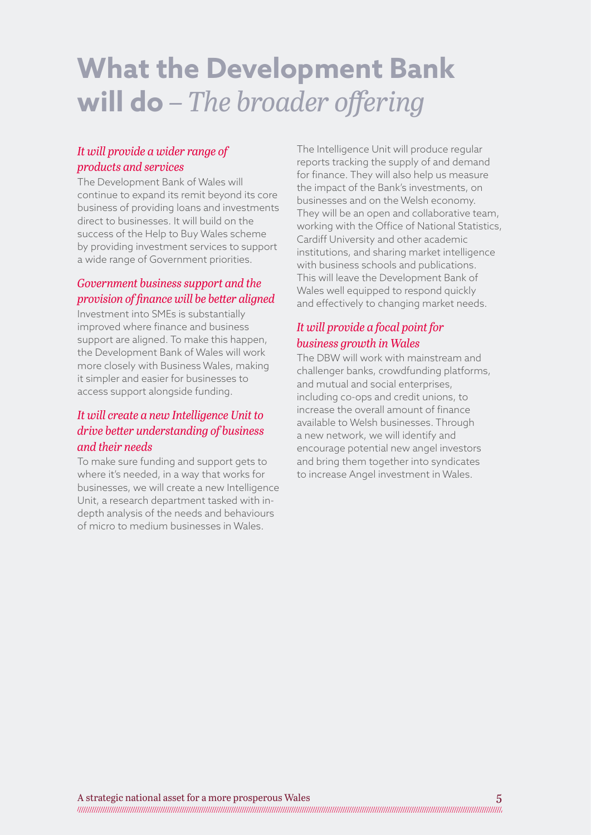# **What the Development Bank will do** *– The broader offering*

#### *It will provide a wider range of products and services*

The Development Bank of Wales will continue to expand its remit beyond its core business of providing loans and investments direct to businesses. It will build on the success of the Help to Buy Wales scheme by providing investment services to support a wide range of Government priorities.

### *Government business support and the provision of finance will be better aligned*

Investment into SMEs is substantially improved where finance and business support are aligned. To make this happen, the Development Bank of Wales will work more closely with Business Wales, making it simpler and easier for businesses to access support alongside funding.

#### *It will create a new Intelligence Unit to drive better understanding of business and their needs*

To make sure funding and support gets to where it's needed, in a way that works for businesses, we will create a new Intelligence Unit, a research department tasked with indepth analysis of the needs and behaviours of micro to medium businesses in Wales.

The Intelligence Unit will produce regular reports tracking the supply of and demand for finance. They will also help us measure the impact of the Bank's investments, on businesses and on the Welsh economy. They will be an open and collaborative team, working with the Office of National Statistics, Cardiff University and other academic institutions, and sharing market intelligence with business schools and publications. This will leave the Development Bank of Wales well equipped to respond quickly and effectively to changing market needs.

### *It will provide a focal point for business growth in Wales*

The DBW will work with mainstream and challenger banks, crowdfunding platforms, and mutual and social enterprises, including co-ops and credit unions, to increase the overall amount of finance available to Welsh businesses. Through a new network, we will identify and encourage potential new angel investors and bring them together into syndicates to increase Angel investment in Wales.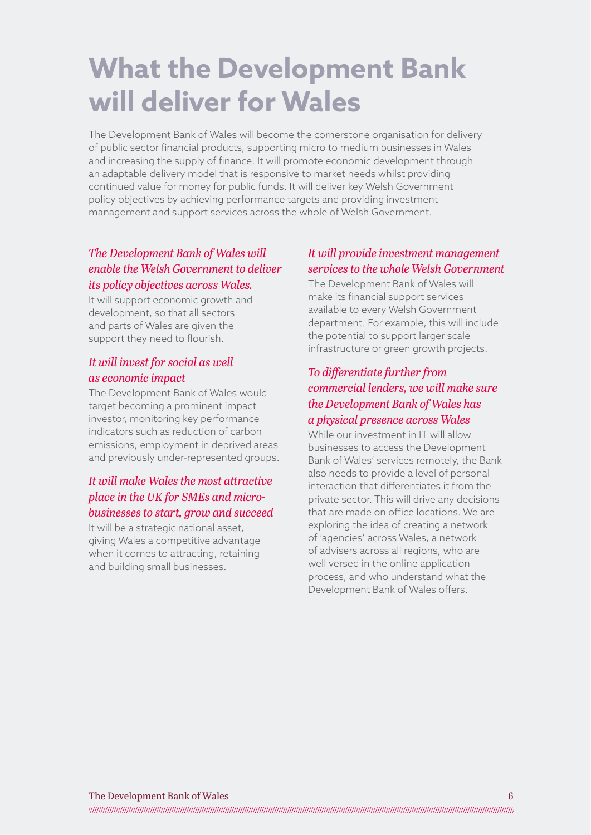# **What the Development Bank will deliver for Wales**

The Development Bank of Wales will become the cornerstone organisation for delivery of public sector financial products, supporting micro to medium businesses in Wales and increasing the supply of finance. It will promote economic development through an adaptable delivery model that is responsive to market needs whilst providing continued value for money for public funds. It will deliver key Welsh Government policy objectives by achieving performance targets and providing investment management and support services across the whole of Welsh Government.

#### *The Development Bank of Wales will enable the Welsh Government to deliver its policy objectives across Wales.*

It will support economic growth and development, so that all sectors and parts of Wales are given the support they need to flourish.

#### *It will invest for social as well as economic impact*

The Development Bank of Wales would target becoming a prominent impact investor, monitoring key performance indicators such as reduction of carbon emissions, employment in deprived areas and previously under-represented groups.

#### *It will make Wales the most attractive place in the UK for SMEs and microbusinesses to start, grow and succeed*

It will be a strategic national asset, giving Wales a competitive advantage when it comes to attracting, retaining and building small businesses.

#### *It will provide investment management services to the whole Welsh Government*

The Development Bank of Wales will make its financial support services available to every Welsh Government department. For example, this will include the potential to support larger scale infrastructure or green growth projects.

#### *To differentiate further from commercial lenders, we will make sure the Development Bank of Wales has a physical presence across Wales*

While our investment in IT will allow businesses to access the Development Bank of Wales' services remotely, the Bank also needs to provide a level of personal interaction that differentiates it from the private sector. This will drive any decisions that are made on office locations. We are exploring the idea of creating a network of 'agencies' across Wales, a network of advisers across all regions, who are well versed in the online application process, and who understand what the Development Bank of Wales offers.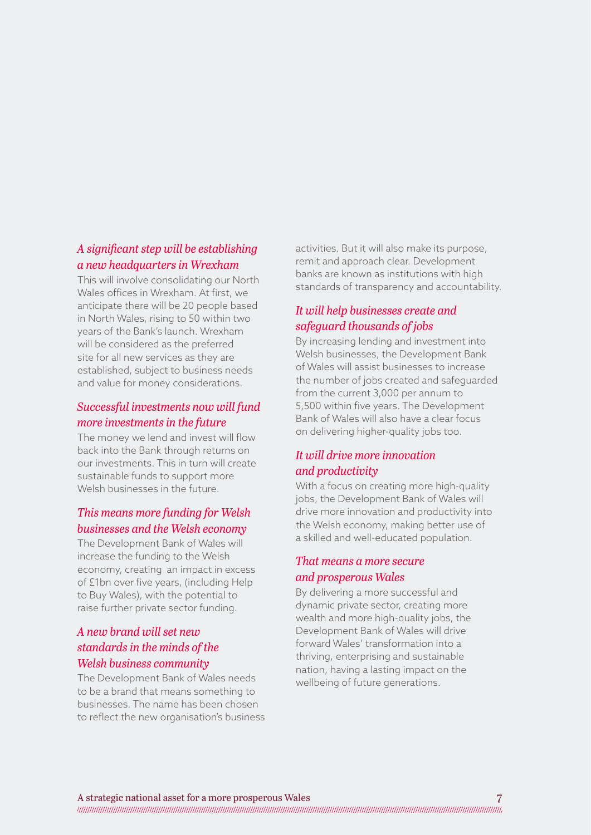#### *A significant step will be establishing a new headquarters in Wrexham*

This will involve consolidating our North Wales offices in Wrexham. At first, we anticipate there will be 20 people based in North Wales, rising to 50 within two years of the Bank's launch. Wrexham will be considered as the preferred site for all new services as they are established, subject to business needs and value for money considerations.

#### *Successful investments now will fund more investments in the future*

The money we lend and invest will flow back into the Bank through returns on our investments. This in turn will create sustainable funds to support more Welsh businesses in the future.

#### *This means more funding for Welsh businesses and the Welsh economy*

The Development Bank of Wales will increase the funding to the Welsh economy, creating an impact in excess of £1bn over five years, (including Help to Buy Wales), with the potential to raise further private sector funding.

#### *A new brand will set new standards in the minds of the Welsh business community*

The Development Bank of Wales needs to be a brand that means something to businesses. The name has been chosen to reflect the new organisation's business activities. But it will also make its purpose, remit and approach clear. Development banks are known as institutions with high standards of transparency and accountability.

#### *It will help businesses create and safeguard thousands of jobs*

By increasing lending and investment into Welsh businesses, the Development Bank of Wales will assist businesses to increase the number of jobs created and safeguarded from the current 3,000 per annum to 5,500 within five years. The Development Bank of Wales will also have a clear focus on delivering higher-quality jobs too.

#### *It will drive more innovation and productivity*

With a focus on creating more high-quality jobs, the Development Bank of Wales will drive more innovation and productivity into the Welsh economy, making better use of a skilled and well-educated population.

#### *That means a more secure and prosperous Wales*

By delivering a more successful and dynamic private sector, creating more wealth and more high-quality jobs, the Development Bank of Wales will drive forward Wales' transformation into a thriving, enterprising and sustainable nation, having a lasting impact on the wellbeing of future generations.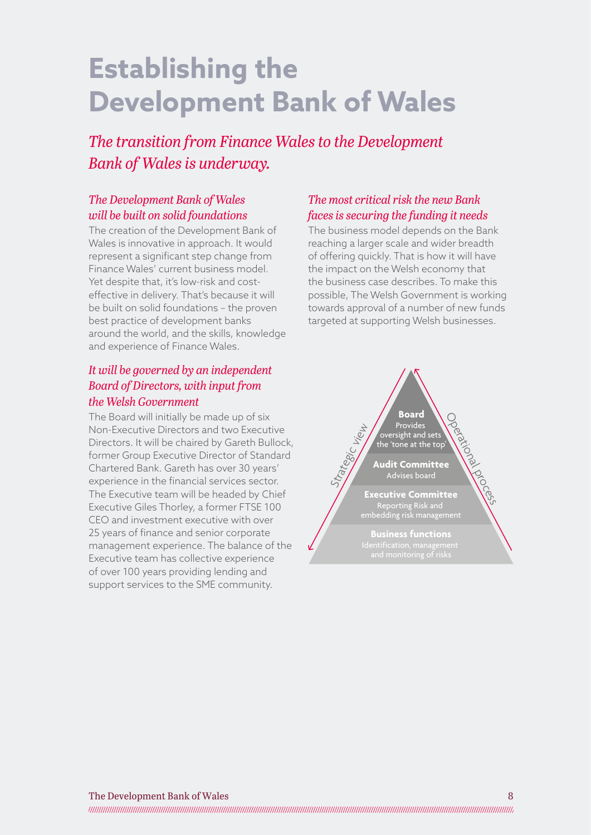# **Establishing the Development Bank of Wales**

*The transition from Finance Wales to the Development Bank of Wales is underway.* 

#### *The Development Bank of Wales will be built on solid foundations*

The creation of the Development Bank of Wales is innovative in approach. It would represent a significant step change from Finance Wales' current business model. Yet despite that, it's low-risk and costeffective in delivery. That's because it will be built on solid foundations – the proven best practice of development banks around the world, and the skills, knowledge and experience of Finance Wales.

#### *It will be governed by an independent Board of Directors, with input from the Welsh Government*

The Board will initially be made up of six Non-Executive Directors and two Executive Directors. It will be chaired by Gareth Bullock, former Group Executive Director of Standard Chartered Bank. Gareth has over 30 years' experience in the financial services sector. The Executive team will be headed by Chief Executive Giles Thorley, a former FTSE 100 CEO and investment executive with over 25 years of finance and senior corporate management experience. The balance of the Executive team has collective experience of over 100 years providing lending and support services to the SME community.

#### *The most critical risk the new Bank faces is securing the funding it needs*

The business model depends on the Bank reaching a larger scale and wider breadth of offering quickly. That is how it will have the impact on the Welsh economy that the business case describes. To make this possible, The Welsh Government is working towards approval of a number of new funds targeted at supporting Welsh businesses.

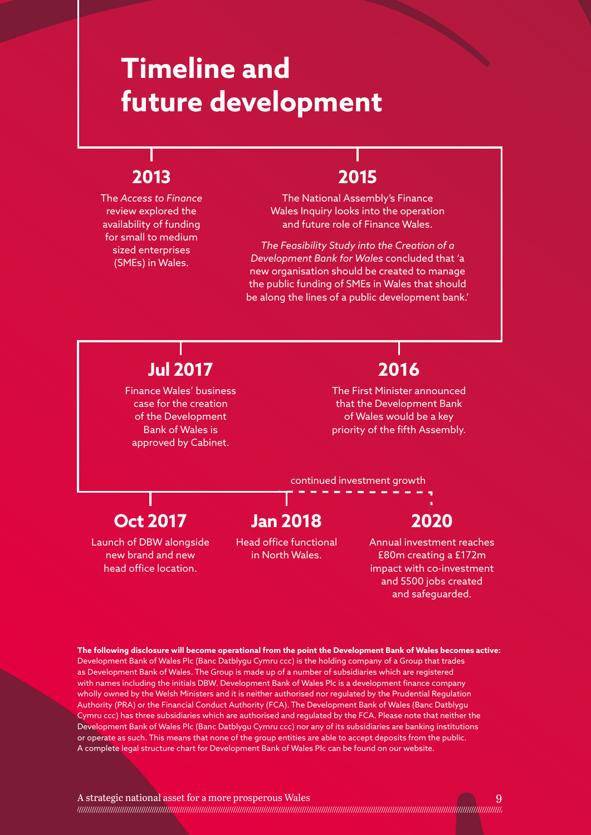# **Timeline and future development**

### **2013**

The *Access to Finance* review explored the availability of funding for small to medium sized enterprises (SMEs) in Wales.

### **2015**

The National Assembly's Finance Wales Inquiry looks into the operation and future role of Finance Wales.

*The Feasibility Study into the Creation of a Development Bank for Wales* concluded that 'a new organisation should be created to manage the public funding of SMEs in Wales that should be along the lines of a public development bank.'

### **Jul 2017**

Finance Wales' business case for the creation of the Development Bank of Wales is approved by Cabinet.

### **2016**

The First Minister announced that the Development Bank of Wales would be a key priority of the fifth Assembly.

continued investment growth

### **Oct 2017**

Launch of DBW alongside new brand and new head office location.

### **Jan 2018**

Head office functional in North Wales.

### **2020**

Annual investment reaches £80m creating a £172m impact with co-investment and 5500 jobs created and safeguarded.

**The following disclosure will become operational from the point the Development Bank of Wales becomes active:** Development Bank of Wales Plc (Banc Datblygu Cymru ccc) is the holding company of a Group that trades as Development Bank of Wales. The Group is made up of a number of subsidiaries which are registered with names including the initials DBW. Development Bank of Wales Plc is a development finance company wholly owned by the Welsh Ministers and it is neither authorised nor regulated by the Prudential Regulation Authority (PRA) or the Financial Conduct Authority (FCA). The Development Bank of Wales (Banc Datblygu Cymru ccc) has three subsidiaries which are authorised and regulated by the FCA. Please note that neither the Development Bank of Wales Plc (Banc Datblygu Cymru ccc) nor any of its subsidiaries are banking institutions or operate as such. This means that none of the group entities are able to accept deposits from the public. A complete legal structure chart for Development Bank of Wales Plc can be found on our website.